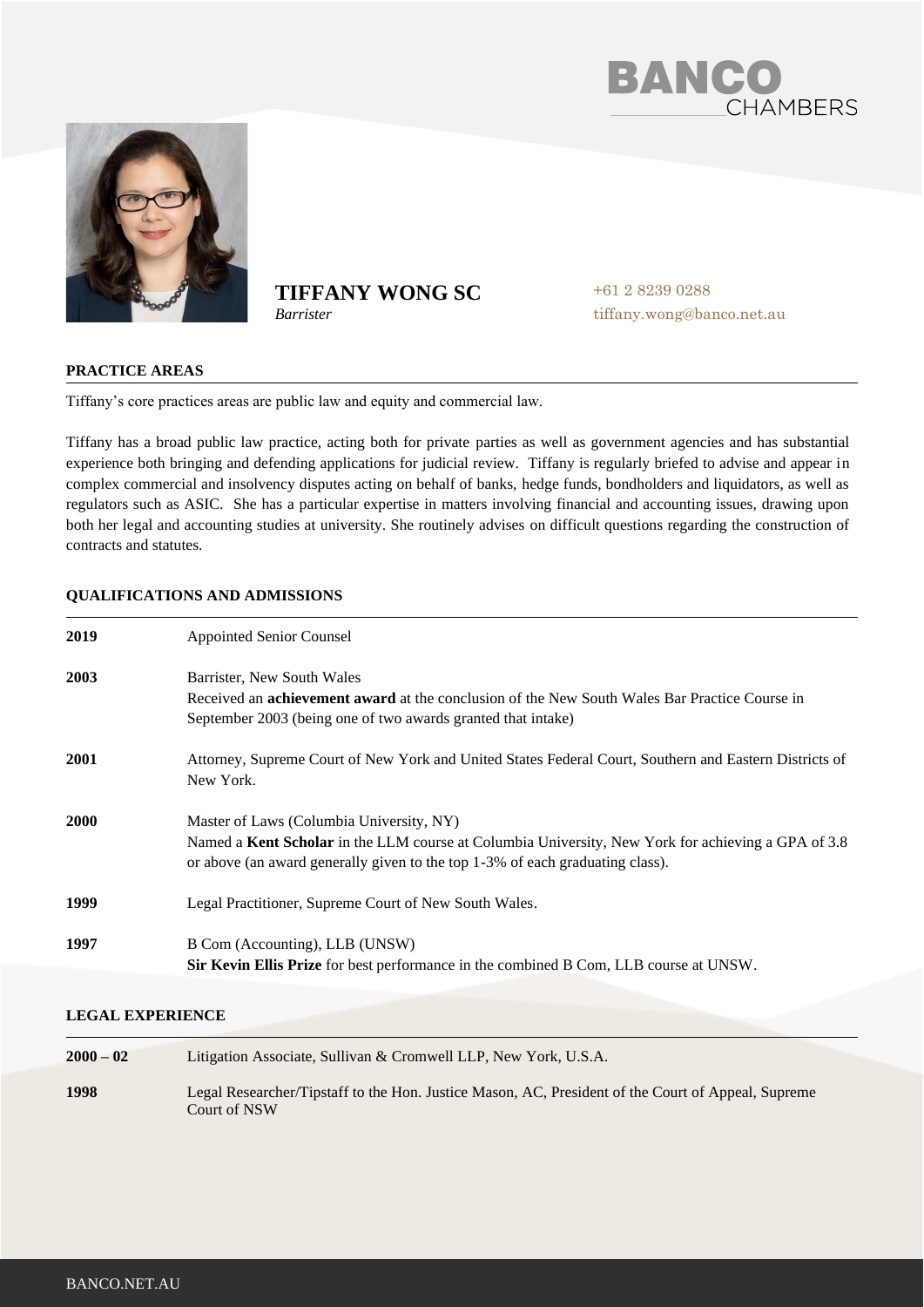



# **TIFFANY WONG SC**

*Barrister*

+61 2 8239 0288 tiffany.wong@banco.net.au

## **PRACTICE AREAS**

Tiffany's core practices areas are public law and equity and commercial law.

Tiffany has a broad public law practice, acting both for private parties as well as government agencies and has substantial experience both bringing and defending applications for judicial review. Tiffany is regularly briefed to advise and appear in complex commercial and insolvency disputes acting on behalf of banks, hedge funds, bondholders and liquidators, as well as regulators such as ASIC. She has a particular expertise in matters involving financial and accounting issues, drawing upon both her legal and accounting studies at university. She routinely advises on difficult questions regarding the construction of contracts and statutes.

# **QUALIFICATIONS AND ADMISSIONS**

| 2019 | <b>Appointed Senior Counsel</b>                                                                                                                                                     |
|------|-------------------------------------------------------------------------------------------------------------------------------------------------------------------------------------|
| 2003 | Barrister, New South Wales                                                                                                                                                          |
|      | Received an <b>achievement award</b> at the conclusion of the New South Wales Bar Practice Course in<br>September 2003 (being one of two awards granted that intake)                |
| 2001 | Attorney, Supreme Court of New York and United States Federal Court, Southern and Eastern Districts of<br>New York.                                                                 |
| 2000 | Master of Laws (Columbia University, NY)                                                                                                                                            |
|      | Named a Kent Scholar in the LLM course at Columbia University, New York for achieving a GPA of 3.8<br>or above (an award generally given to the top 1-3% of each graduating class). |
| 1999 | Legal Practitioner, Supreme Court of New South Wales.                                                                                                                               |
| 1997 | B Com (Accounting), LLB (UNSW)                                                                                                                                                      |
|      | <b>Sir Kevin Ellis Prize</b> for best performance in the combined B Com, LLB course at UNSW.                                                                                        |

## **LEGAL EXPERIENCE**

| $2000 - 02$ | Litigation Associate, Sullivan & Cromwell LLP, New York, U.S.A.                                                    |
|-------------|--------------------------------------------------------------------------------------------------------------------|
| 1998        | Legal Researcher/Tipstaff to the Hon. Justice Mason, AC, President of the Court of Appeal, Supreme<br>Court of NSW |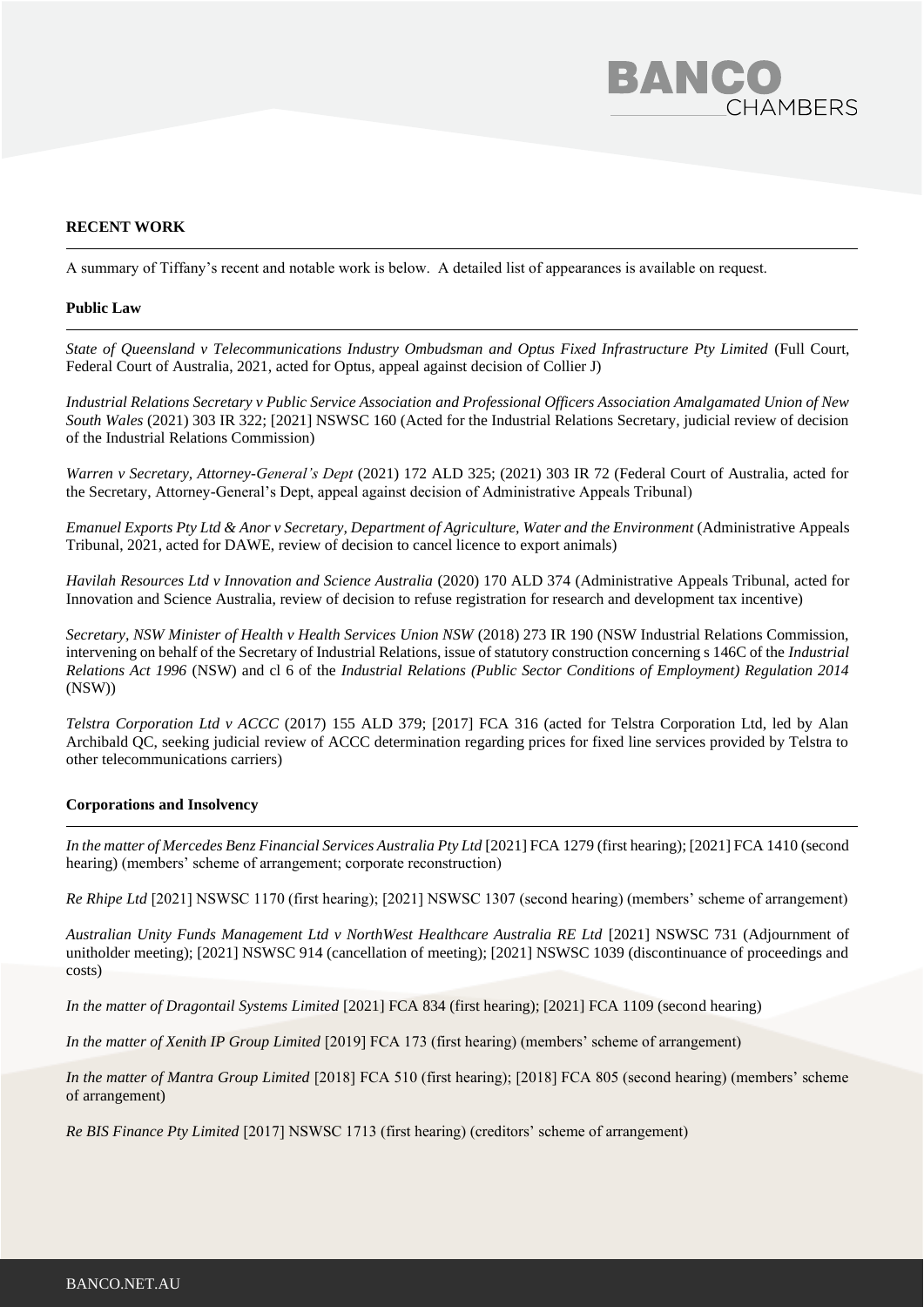

### **RECENT WORK**

A summary of Tiffany's recent and notable work is below. A detailed list of appearances is available on request.

#### **Public Law**

*State of Queensland v Telecommunications Industry Ombudsman and Optus Fixed Infrastructure Pty Limited* (Full Court, Federal Court of Australia, 2021, acted for Optus, appeal against decision of Collier J)

*Industrial Relations Secretary v Public Service Association and Professional Officers Association Amalgamated Union of New South Wales* (2021) 303 IR 322; [2021] NSWSC 160 (Acted for the Industrial Relations Secretary, judicial review of decision of the Industrial Relations Commission)

*Warren v Secretary, Attorney-General's Dept* (2021) 172 ALD 325; (2021) 303 IR 72 (Federal Court of Australia, acted for the Secretary, Attorney-General's Dept, appeal against decision of Administrative Appeals Tribunal)

*Emanuel Exports Pty Ltd & Anor v Secretary, Department of Agriculture, Water and the Environment (Administrative Appeals* Tribunal, 2021, acted for DAWE, review of decision to cancel licence to export animals)

*Havilah Resources Ltd v Innovation and Science Australia* (2020) 170 ALD 374 (Administrative Appeals Tribunal, acted for Innovation and Science Australia, review of decision to refuse registration for research and development tax incentive)

*Secretary, NSW Minister of Health v Health Services Union NSW* (2018) 273 IR 190 (NSW Industrial Relations Commission, intervening on behalf of the Secretary of Industrial Relations, issue of statutory construction concerning s 146C of the *Industrial Relations Act 1996* (NSW) and cl 6 of the *Industrial Relations (Public Sector Conditions of Employment) Regulation 2014*  (NSW))

*Telstra Corporation Ltd v ACCC* (2017) 155 ALD 379; [2017] FCA 316 (acted for Telstra Corporation Ltd, led by Alan Archibald QC, seeking judicial review of ACCC determination regarding prices for fixed line services provided by Telstra to other telecommunications carriers)

#### **Corporations and Insolvency**

*In the matter of Mercedes Benz Financial Services Australia Pty Ltd* [2021] FCA 1279 (first hearing); [2021] FCA 1410 (second hearing) (members' scheme of arrangement; corporate reconstruction)

*Re Rhipe Ltd* [2021] NSWSC 1170 (first hearing); [2021] NSWSC 1307 (second hearing) (members' scheme of arrangement)

*Australian Unity Funds Management Ltd v NorthWest Healthcare Australia RE Ltd* [2021] NSWSC 731 (Adjournment of unitholder meeting); [2021] NSWSC 914 (cancellation of meeting); [2021] NSWSC 1039 (discontinuance of proceedings and costs)

*In the matter of Dragontail Systems Limited [2021] FCA 834 (first hearing); [2021] FCA 1109 (second hearing)* 

*In the matter of Xenith IP Group Limited* [2019] FCA 173 (first hearing) (members' scheme of arrangement)

*In the matter of Mantra Group Limited* [2018] FCA 510 (first hearing); [2018] FCA 805 (second hearing) (members' scheme of arrangement)

*Re BIS Finance Pty Limited* [2017] NSWSC 1713 (first hearing) (creditors' scheme of arrangement)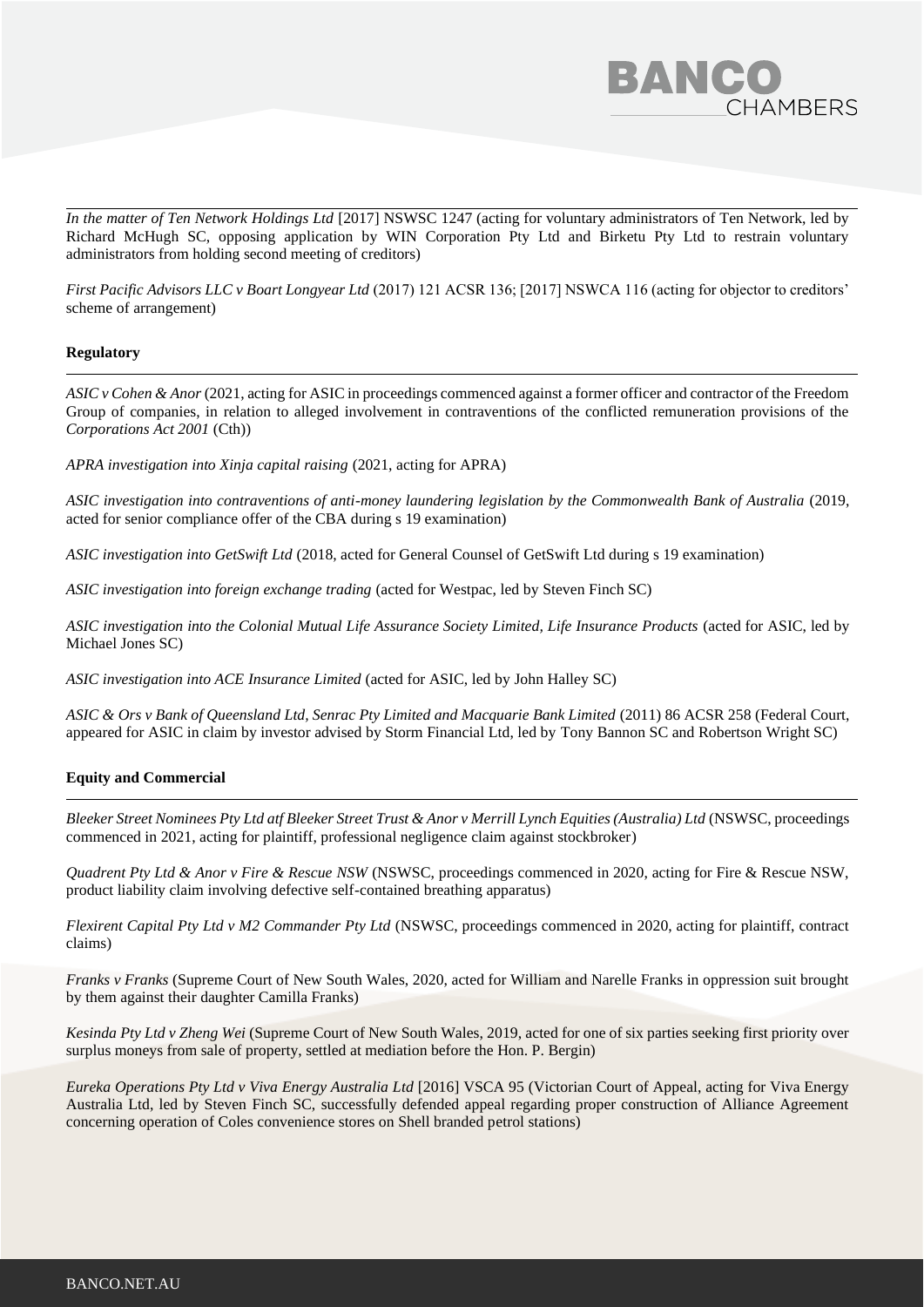

*In the matter of Ten Network Holdings Ltd* [2017] NSWSC 1247 (acting for voluntary administrators of Ten Network, led by Richard McHugh SC, opposing application by WIN Corporation Pty Ltd and Birketu Pty Ltd to restrain voluntary administrators from holding second meeting of creditors)

*First Pacific Advisors LLC v Boart Longyear Ltd* (2017) 121 ACSR 136; [2017] NSWCA 116 (acting for objector to creditors' scheme of arrangement)

#### **Regulatory**

*ASIC v Cohen & Anor* (2021, acting for ASIC in proceedings commenced against a former officer and contractor of the Freedom Group of companies, in relation to alleged involvement in contraventions of the conflicted remuneration provisions of the *Corporations Act 2001* (Cth))

*APRA investigation into Xinja capital raising* (2021, acting for APRA)

*ASIC investigation into contraventions of anti-money laundering legislation by the Commonwealth Bank of Australia* (2019, acted for senior compliance offer of the CBA during s 19 examination)

*ASIC investigation into GetSwift Ltd* (2018, acted for General Counsel of GetSwift Ltd during s 19 examination)

*ASIC investigation into foreign exchange trading* (acted for Westpac, led by Steven Finch SC)

*ASIC investigation into the Colonial Mutual Life Assurance Society Limited, Life Insurance Products* (acted for ASIC, led by Michael Jones SC)

*ASIC investigation into ACE Insurance Limited* (acted for ASIC, led by John Halley SC)

ASIC & Ors v Bank of Queensland Ltd, Senrac Pty Limited and Macquarie Bank Limited (2011) 86 ACSR 258 (Federal Court, appeared for ASIC in claim by investor advised by Storm Financial Ltd, led by Tony Bannon SC and Robertson Wright SC)

#### **Equity and Commercial**

*Bleeker Street Nominees Pty Ltd atf Bleeker Street Trust & Anor v Merrill Lynch Equities (Australia) Ltd* (NSWSC, proceedings commenced in 2021, acting for plaintiff, professional negligence claim against stockbroker)

*Quadrent Pty Ltd & Anor v Fire & Rescue NSW* (NSWSC, proceedings commenced in 2020, acting for Fire & Rescue NSW, product liability claim involving defective self-contained breathing apparatus)

*Flexirent Capital Pty Ltd v M2 Commander Pty Ltd* (NSWSC, proceedings commenced in 2020, acting for plaintiff, contract claims)

*Franks v Franks* (Supreme Court of New South Wales, 2020, acted for William and Narelle Franks in oppression suit brought by them against their daughter Camilla Franks)

*Kesinda Pty Ltd v Zheng Wei* (Supreme Court of New South Wales, 2019, acted for one of six parties seeking first priority over surplus moneys from sale of property, settled at mediation before the Hon. P. Bergin)

*Eureka Operations Pty Ltd v Viva Energy Australia Ltd* [2016] VSCA 95 (Victorian Court of Appeal, acting for Viva Energy Australia Ltd, led by Steven Finch SC, successfully defended appeal regarding proper construction of Alliance Agreement concerning operation of Coles convenience stores on Shell branded petrol stations)